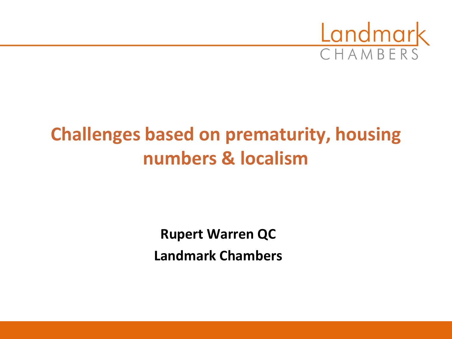

# **Challenges based on prematurity, housing numbers & localism**

**Rupert Warren QC Landmark Chambers**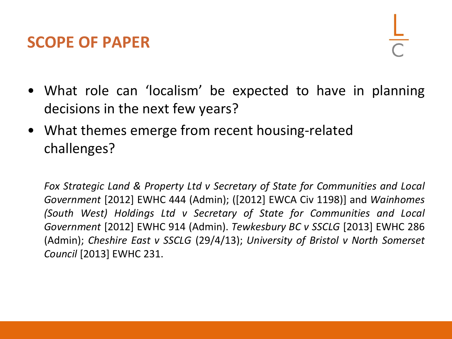#### **SCOPE OF PAPER**

- What role can 'localism' be expected to have in planning decisions in the next few years?
- What themes emerge from recent housing-related challenges?

*Fox Strategic Land & Property Ltd v Secretary of State for Communities and Local Government* [2012] EWHC 444 (Admin); ([2012] EWCA Civ 1198)] and *Wainhomes (South West) Holdings Ltd v Secretary of State for Communities and Local Government* [2012] EWHC 914 (Admin). *Tewkesbury BC v SSCLG* [2013] EWHC 286 (Admin); *Cheshire East v SSCLG* (29/4/13); *University of Bristol v North Somerset Council* [2013] EWHC 231.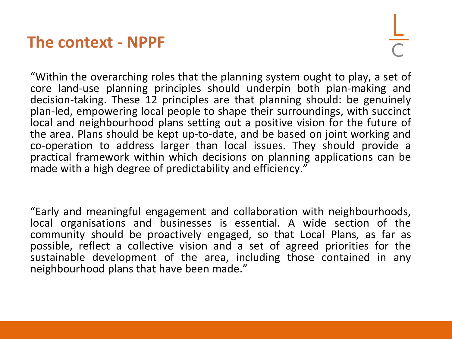#### **The context - NPPF**

"Within the overarching roles that the planning system ought to play, a set of core land-use planning principles should underpin both plan-making and decision-taking. These 12 principles are that planning should: be genuinely plan-led, empowering local people to shape their surroundings, with succinct local and neighbourhood plans setting out a positive vision for the future of the area. Plans should be kept up-to-date, and be based on joint working and co-operation to address larger than local issues. They should provide a practical framework within which decisions on planning applications can be made with a high degree of predictability and efficiency."

"Early and meaningful engagement and collaboration with neighbourhoods, local organisations and businesses is essential. A wide section of the community should be proactively engaged, so that Local Plans, as far as possible, reflect a collective vision and a set of agreed priorities for the sustainable development of the area, including those contained in any neighbourhood plans that have been made."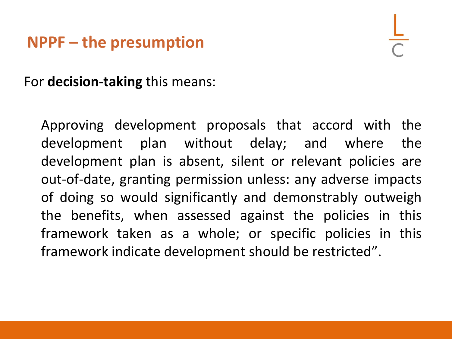#### **NPPF – the presumption**

For **decision-taking** this means:

Approving development proposals that accord with the development plan without delay; and where the development plan is absent, silent or relevant policies are out-of-date, granting permission unless: any adverse impacts of doing so would significantly and demonstrably outweigh the benefits, when assessed against the policies in this framework taken as a whole; or specific policies in this framework indicate development should be restricted".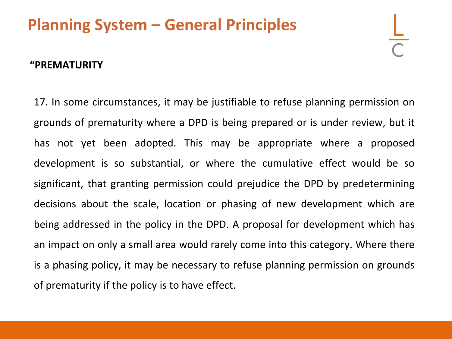## **Planning System – General Principles**

#### **"PREMATURITY**

17. In some circumstances, it may be justifiable to refuse planning permission on grounds of prematurity where a DPD is being prepared or is under review, but it has not yet been adopted. This may be appropriate where a proposed development is so substantial, or where the cumulative effect would be so significant, that granting permission could prejudice the DPD by predetermining decisions about the scale, location or phasing of new development which are being addressed in the policy in the DPD. A proposal for development which has an impact on only a small area would rarely come into this category. Where there is a phasing policy, it may be necessary to refuse planning permission on grounds of prematurity if the policy is to have effect.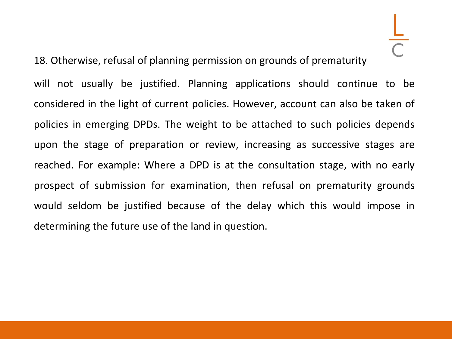will not usually be justified. Planning applications should continue to be considered in the light of current policies. However, account can also be taken of policies in emerging DPDs. The weight to be attached to such policies depends upon the stage of preparation or review, increasing as successive stages are reached. For example: Where a DPD is at the consultation stage, with no early prospect of submission for examination, then refusal on prematurity grounds would seldom be justified because of the delay which this would impose in determining the future use of the land in question.

18. Otherwise, refusal of planning permission on grounds of prematurity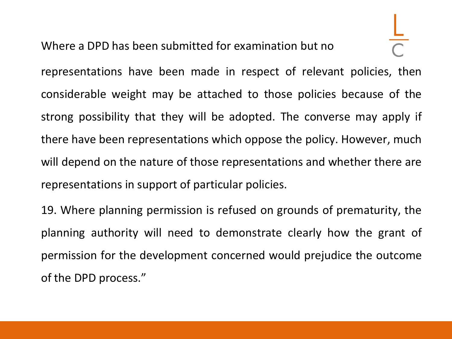Where a DPD has been submitted for examination but no

representations have been made in respect of relevant policies, then considerable weight may be attached to those policies because of the strong possibility that they will be adopted. The converse may apply if there have been representations which oppose the policy. However, much will depend on the nature of those representations and whether there are representations in support of particular policies.

19. Where planning permission is refused on grounds of prematurity, the planning authority will need to demonstrate clearly how the grant of permission for the development concerned would prejudice the outcome of the DPD process."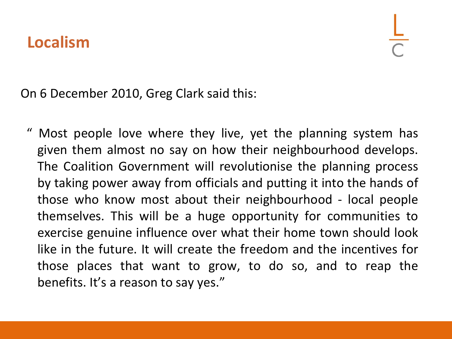On 6 December 2010, Greg Clark said this:

Most people love where they live, yet the planning system has given them almost no say on how their neighbourhood develops. The Coalition Government will revolutionise the planning process by taking power away from officials and putting it into the hands of those who know most about their neighbourhood - local people themselves. This will be a huge opportunity for communities to exercise genuine influence over what their home town should look like in the future. It will create the freedom and the incentives for those places that want to grow, to do so, and to reap the benefits. It's a reason to say yes."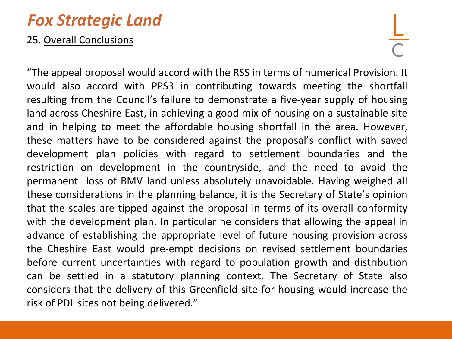#### *Fox Strategic Land*

#### 25. Overall Conclusions

"The appeal proposal would accord with the RSS in terms of numerical Provision. It would also accord with PPS3 in contributing towards meeting the shortfall resulting from the Council's failure to demonstrate a five-year supply of housing land across Cheshire East, in achieving a good mix of housing on a sustainable site and in helping to meet the affordable housing shortfall in the area. However, these matters have to be considered against the proposal's conflict with saved development plan policies with regard to settlement boundaries and the restriction on development in the countryside, and the need to avoid the permanent loss of BMV land unless absolutely unavoidable. Having weighed all these considerations in the planning balance, it is the Secretary of State's opinion that the scales are tipped against the proposal in terms of its overall conformity with the development plan. In particular he considers that allowing the appeal in advance of establishing the appropriate level of future housing provision across the Cheshire East would pre-empt decisions on revised settlement boundaries before current uncertainties with regard to population growth and distribution can be settled in a statutory planning context. The Secretary of State also considers that the delivery of this Greenfield site for housing would increase the risk of PDL sites not being delivered."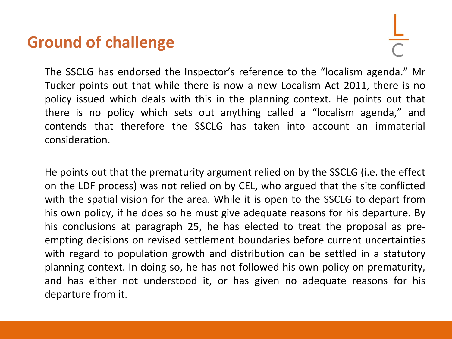#### **Ground of challenge**

The SSCLG has endorsed the Inspector's reference to the "localism agenda." Mr Tucker points out that while there is now a new Localism Act 2011, there is no policy issued which deals with this in the planning context. He points out that there is no policy which sets out anything called a "localism agenda," and contends that therefore the SSCLG has taken into account an immaterial consideration.

He points out that the prematurity argument relied on by the SSCLG (i.e. the effect on the LDF process) was not relied on by CEL, who argued that the site conflicted with the spatial vision for the area. While it is open to the SSCLG to depart from his own policy, if he does so he must give adequate reasons for his departure. By his conclusions at paragraph 25, he has elected to treat the proposal as preempting decisions on revised settlement boundaries before current uncertainties with regard to population growth and distribution can be settled in a statutory planning context. In doing so, he has not followed his own policy on prematurity, and has either not understood it, or has given no adequate reasons for his departure from it.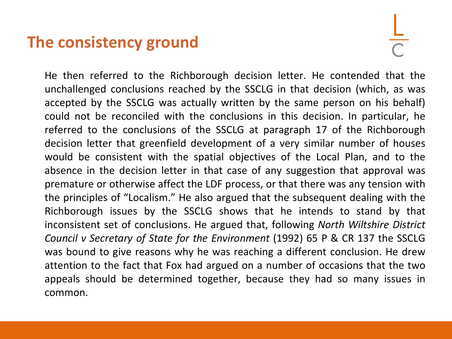#### **The consistency ground**

He then referred to the Richborough decision letter. He contended that the unchallenged conclusions reached by the SSCLG in that decision (which, as was accepted by the SSCLG was actually written by the same person on his behalf) could not be reconciled with the conclusions in this decision. In particular, he referred to the conclusions of the SSCLG at paragraph 17 of the Richborough decision letter that greenfield development of a very similar number of houses would be consistent with the spatial objectives of the Local Plan, and to the absence in the decision letter in that case of any suggestion that approval was premature or otherwise affect the LDF process, or that there was any tension with the principles of "Localism." He also argued that the subsequent dealing with the Richborough issues by the SSCLG shows that he intends to stand by that inconsistent set of conclusions. He argued that, following *North Wiltshire District Council v Secretary of State for the Environment* (1992) 65 P & CR 137 the SSCLG was bound to give reasons why he was reaching a different conclusion. He drew attention to the fact that Fox had argued on a number of occasions that the two appeals should be determined together, because they had so many issues in common.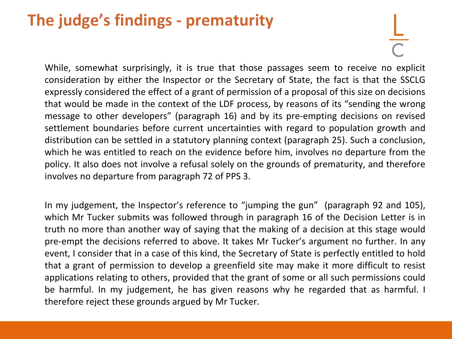## **The judge's findings - prematurity**

While, somewhat surprisingly, it is true that those passages seem to receive no explicit consideration by either the Inspector or the Secretary of State, the fact is that the SSCLG expressly considered the effect of a grant of permission of a proposal of this size on decisions that would be made in the context of the LDF process, by reasons of its "sending the wrong message to other developers" (paragraph 16) and by its pre-empting decisions on revised settlement boundaries before current uncertainties with regard to population growth and distribution can be settled in a statutory planning context (paragraph 25). Such a conclusion, which he was entitled to reach on the evidence before him, involves no departure from the policy. It also does not involve a refusal solely on the grounds of prematurity, and therefore involves no departure from paragraph 72 of PPS 3.

In my judgement, the Inspector's reference to "jumping the gun" (paragraph 92 and 105), which Mr Tucker submits was followed through in paragraph 16 of the Decision Letter is in truth no more than another way of saying that the making of a decision at this stage would pre-empt the decisions referred to above. It takes Mr Tucker's argument no further. In any event, I consider that in a case of this kind, the Secretary of State is perfectly entitled to hold that a grant of permission to develop a greenfield site may make it more difficult to resist applications relating to others, provided that the grant of some or all such permissions could be harmful. In my judgement, he has given reasons why he regarded that as harmful. I therefore reject these grounds argued by Mr Tucker.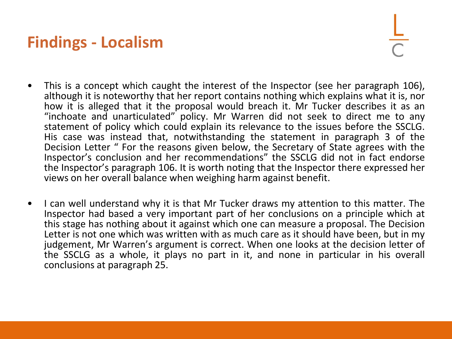### **Findings - Localism**

- This is a concept which caught the interest of the Inspector (see her paragraph 106), although it is noteworthy that her report contains nothing which explains what it is, nor how it is alleged that it the proposal would breach it. Mr Tucker describes it as an "inchoate and unarticulated" policy. Mr Warren did not seek to direct me to any statement of policy which could explain its relevance to the issues before the SSCLG. His case was instead that, notwithstanding the statement in paragraph 3 of the Decision Letter " For the reasons given below, the Secretary of State agrees with the Inspector's conclusion and her recommendations" the SSCLG did not in fact endorse the Inspector's paragraph 106. It is worth noting that the Inspector there expressed her views on her overall balance when weighing harm against benefit.
- I can well understand why it is that Mr Tucker draws my attention to this matter. The Inspector had based a very important part of her conclusions on a principle which at this stage has nothing about it against which one can measure a proposal. The Decision Letter is not one which was written with as much care as it should have been, but in my judgement, Mr Warren's argument is correct. When one looks at the decision letter of the SSCLG as a whole, it plays no part in it, and none in particular in his overall conclusions at paragraph 25.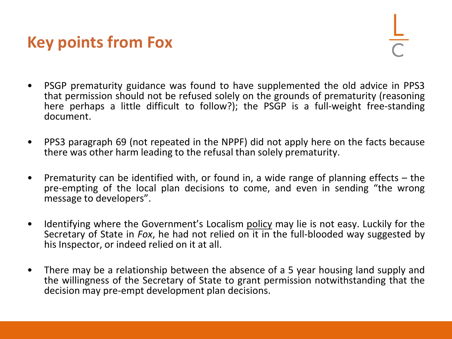#### **Key points from Fox**

- PSGP prematurity guidance was found to have supplemented the old advice in PPS3 that permission should not be refused solely on the grounds of prematurity (reasoning here perhaps a little difficult to follow?); the PSGP is a full-weight free-standing document.
- PPS3 paragraph 69 (not repeated in the NPPF) did not apply here on the facts because there was other harm leading to the refusal than solely prematurity.
- Prematurity can be identified with, or found in, a wide range of planning effects the pre-empting of the local plan decisions to come, and even in sending "the wrong message to developers".
- Identifying where the Government's Localism policy may lie is not easy. Luckily for the Secretary of State in *Fox*, he had not relied on it in the full-blooded way suggested by his Inspector, or indeed relied on it at all.
- There may be a relationship between the absence of a 5 year housing land supply and the willingness of the Secretary of State to grant permission notwithstanding that the decision may pre-empt development plan decisions.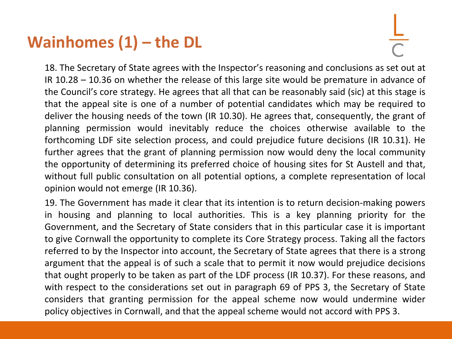### **Wainhomes (1) – the DL**

18. The Secretary of State agrees with the Inspector's reasoning and conclusions as set out at IR 10.28 – 10.36 on whether the release of this large site would be premature in advance of the Council's core strategy. He agrees that all that can be reasonably said (sic) at this stage is that the appeal site is one of a number of potential candidates which may be required to deliver the housing needs of the town (IR 10.30). He agrees that, consequently, the grant of planning permission would inevitably reduce the choices otherwise available to the forthcoming LDF site selection process, and could prejudice future decisions (IR 10.31). He further agrees that the grant of planning permission now would deny the local community the opportunity of determining its preferred choice of housing sites for St Austell and that, without full public consultation on all potential options, a complete representation of local opinion would not emerge (IR 10.36).

19. The Government has made it clear that its intention is to return decision-making powers in housing and planning to local authorities. This is a key planning priority for the Government, and the Secretary of State considers that in this particular case it is important to give Cornwall the opportunity to complete its Core Strategy process. Taking all the factors referred to by the Inspector into account, the Secretary of State agrees that there is a strong argument that the appeal is of such a scale that to permit it now would prejudice decisions that ought properly to be taken as part of the LDF process (IR 10.37). For these reasons, and with respect to the considerations set out in paragraph 69 of PPS 3, the Secretary of State considers that granting permission for the appeal scheme now would undermine wider policy objectives in Cornwall, and that the appeal scheme would not accord with PPS 3.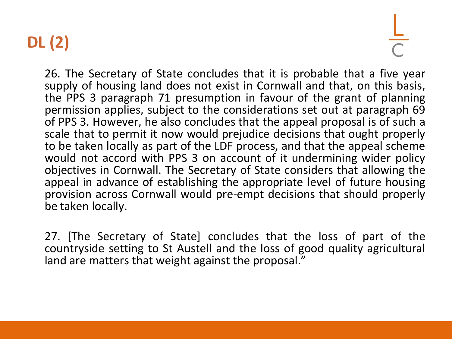# **DL (2)**

26. The Secretary of State concludes that it is probable that a five year supply of housing land does not exist in Cornwall and that, on this basis, the PPS 3 paragraph 71 presumption in favour of the grant of planning permission applies, subject to the considerations set out at paragraph 69 of PPS 3. However, he also concludes that the appeal proposal is of such a scale that to permit it now would prejudice decisions that ought properly to be taken locally as part of the LDF process, and that the appeal scheme would not accord with PPS 3 on account of it undermining wider policy objectives in Cornwall. The Secretary of State considers that allowing the appeal in advance of establishing the appropriate level of future housing provision across Cornwall would pre-empt decisions that should properly be taken locally.

27. [The Secretary of State] concludes that the loss of part of the countryside setting to St Austell and the loss of good quality agricultural land are matters that weight against the proposal."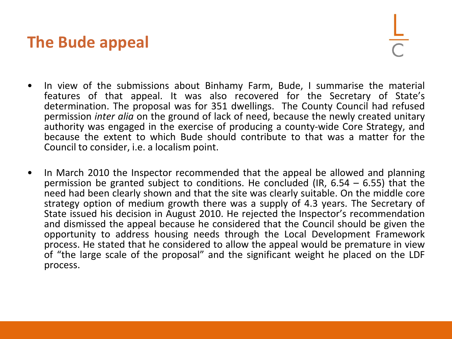#### **The Bude appeal**

- In view of the submissions about Binhamy Farm, Bude, I summarise the material features of that appeal. It was also recovered for the Secretary of State's determination. The proposal was for 351 dwellings. The County Council had refused permission *inter alia* on the ground of lack of need, because the newly created unitary authority was engaged in the exercise of producing a county-wide Core Strategy, and because the extent to which Bude should contribute to that was a matter for the Council to consider, i.e. a localism point.
- In March 2010 the Inspector recommended that the appeal be allowed and planning permission be granted subject to conditions. He concluded (IR,  $6.54 - 6.55$ ) that the need had been clearly shown and that the site was clearly suitable. On the middle core strategy option of medium growth there was a supply of 4.3 years. The Secretary of State issued his decision in August 2010. He rejected the Inspector's recommendation and dismissed the appeal because he considered that the Council should be given the opportunity to address housing needs through the Local Development Framework process. He stated that he considered to allow the appeal would be premature in view of "the large scale of the proposal" and the significant weight he placed on the LDF process.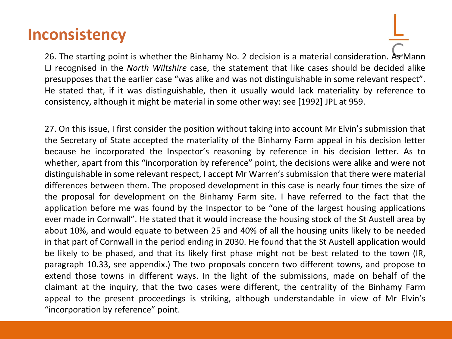#### **Inconsistency**

26. The starting point is whether the Binhamy No. 2 decision is a material consideration. As Mann LJ recognised in the *North Wiltshire* case, the statement that like cases should be decided alike presupposes that the earlier case "was alike and was not distinguishable in some relevant respect". He stated that, if it was distinguishable, then it usually would lack materiality by reference to consistency, although it might be material in some other way: see [1992] JPL at 959.

27. On this issue, I first consider the position without taking into account Mr Elvin's submission that the Secretary of State accepted the materiality of the Binhamy Farm appeal in his decision letter because he incorporated the Inspector's reasoning by reference in his decision letter. As to whether, apart from this "incorporation by reference" point, the decisions were alike and were not distinguishable in some relevant respect, I accept Mr Warren's submission that there were material differences between them. The proposed development in this case is nearly four times the size of the proposal for development on the Binhamy Farm site. I have referred to the fact that the application before me was found by the Inspector to be "one of the largest housing applications ever made in Cornwall". He stated that it would increase the housing stock of the St Austell area by about 10%, and would equate to between 25 and 40% of all the housing units likely to be needed in that part of Cornwall in the period ending in 2030. He found that the St Austell application would be likely to be phased, and that its likely first phase might not be best related to the town (IR, paragraph 10.33, see appendix.) The two proposals concern two different towns, and propose to extend those towns in different ways. In the light of the submissions, made on behalf of the claimant at the inquiry, that the two cases were different, the centrality of the Binhamy Farm appeal to the present proceedings is striking, although understandable in view of Mr Elvin's "incorporation by reference" point.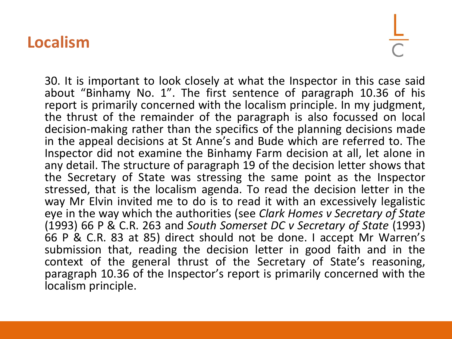#### **Localism**

30. It is important to look closely at what the Inspector in this case said about "Binhamy No. 1". The first sentence of paragraph 10.36 of his report is primarily concerned with the localism principle. In my judgment, the thrust of the remainder of the paragraph is also focussed on local decision-making rather than the specifics of the planning decisions made in the appeal decisions at St Anne's and Bude which are referred to. The Inspector did not examine the Binhamy Farm decision at all, let alone in any detail. The structure of paragraph 19 of the decision letter shows that the Secretary of State was stressing the same point as the Inspector stressed, that is the localism agenda. To read the decision letter in the way Mr Elvin invited me to do is to read it with an excessively legalistic eye in the way which the authorities (see *Clark Homes v Secretary of State* (1993) 66 P & C.R. 263 and *South Somerset DC v Secretary of State* (1993) 66 P & C.R. 83 at 85) direct should not be done. I accept Mr Warren's submission that, reading the decision letter in good faith and in the context of the general thrust of the Secretary of State's reasoning, paragraph 10.36 of the Inspector's report is primarily concerned with the localism principle.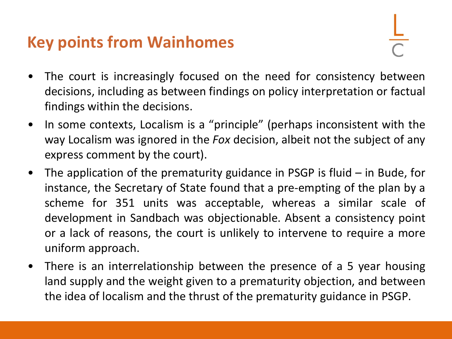### **Key points from Wainhomes**

- The court is increasingly focused on the need for consistency between decisions, including as between findings on policy interpretation or factual findings within the decisions.
- In some contexts, Localism is a "principle" (perhaps inconsistent with the way Localism was ignored in the *Fox* decision, albeit not the subject of any express comment by the court).
- The application of the prematurity guidance in PSGP is fluid in Bude, for instance, the Secretary of State found that a pre-empting of the plan by a scheme for 351 units was acceptable, whereas a similar scale of development in Sandbach was objectionable. Absent a consistency point or a lack of reasons, the court is unlikely to intervene to require a more uniform approach.
- There is an interrelationship between the presence of a 5 year housing land supply and the weight given to a prematurity objection, and between the idea of localism and the thrust of the prematurity guidance in PSGP.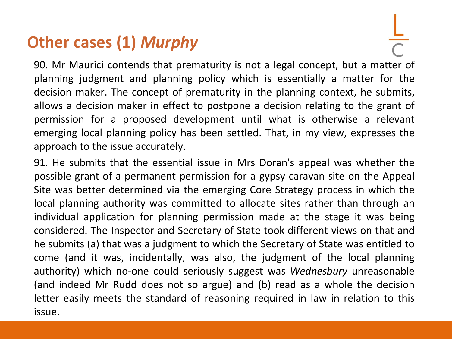## **Other cases (1)** *Murphy*

90. Mr Maurici contends that prematurity is not a legal concept, but a matter of planning judgment and planning policy which is essentially a matter for the decision maker. The concept of prematurity in the planning context, he submits, allows a decision maker in effect to postpone a decision relating to the grant of permission for a proposed development until what is otherwise a relevant emerging local planning policy has been settled. That, in my view, expresses the approach to the issue accurately.

91. He submits that the essential issue in Mrs Doran's appeal was whether the possible grant of a permanent permission for a gypsy caravan site on the Appeal Site was better determined via the emerging Core Strategy process in which the local planning authority was committed to allocate sites rather than through an individual application for planning permission made at the stage it was being considered. The Inspector and Secretary of State took different views on that and he submits (a) that was a judgment to which the Secretary of State was entitled to come (and it was, incidentally, was also, the judgment of the local planning authority) which no-one could seriously suggest was *Wednesbury* unreasonable (and indeed Mr Rudd does not so argue) and (b) read as a whole the decision letter easily meets the standard of reasoning required in law in relation to this issue.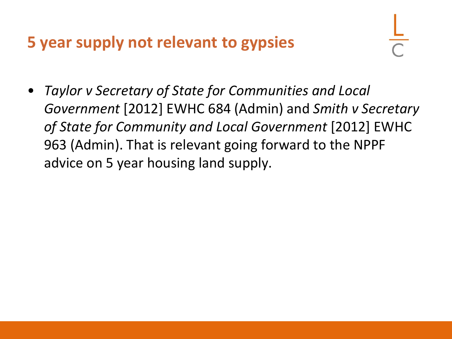### **5 year supply not relevant to gypsies**

• *Taylor v Secretary of State for Communities and Local Government* [2012] EWHC 684 (Admin) and *Smith v Secretary of State for Community and Local Government* [2012] EWHC 963 (Admin). That is relevant going forward to the NPPF advice on 5 year housing land supply.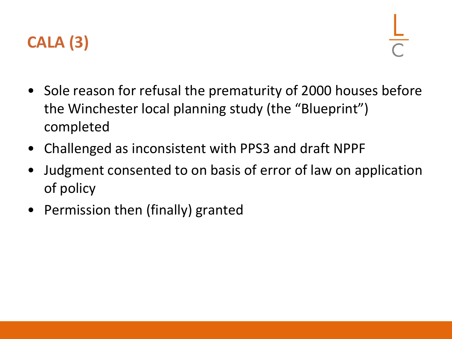

- Sole reason for refusal the prematurity of 2000 houses before the Winchester local planning study (the "Blueprint") completed
- Challenged as inconsistent with PPS3 and draft NPPF
- Judgment consented to on basis of error of law on application of policy
- Permission then (finally) granted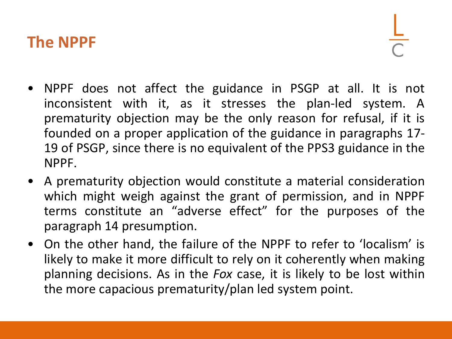#### **The NPPF**

- NPPF does not affect the guidance in PSGP at all. It is not inconsistent with it, as it stresses the plan-led system. A prematurity objection may be the only reason for refusal, if it is founded on a proper application of the guidance in paragraphs 17- 19 of PSGP, since there is no equivalent of the PPS3 guidance in the NPPF.
- A prematurity objection would constitute a material consideration which might weigh against the grant of permission, and in NPPF terms constitute an "adverse effect" for the purposes of the paragraph 14 presumption.
- On the other hand, the failure of the NPPF to refer to 'localism' is likely to make it more difficult to rely on it coherently when making planning decisions. As in the *Fox* case, it is likely to be lost within the more capacious prematurity/plan led system point.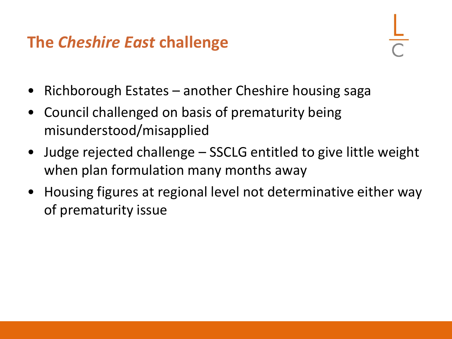### **The** *Cheshire East* **challenge**

- 
- Richborough Estates another Cheshire housing saga
- Council challenged on basis of prematurity being misunderstood/misapplied
- Judge rejected challenge SSCLG entitled to give little weight when plan formulation many months away
- Housing figures at regional level not determinative either way of prematurity issue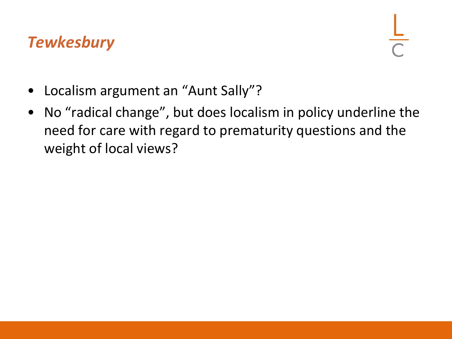#### *Tewkesbury*

- Localism argument an "Aunt Sally"?
- No "radical change", but does localism in policy underline the need for care with regard to prematurity questions and the weight of local views?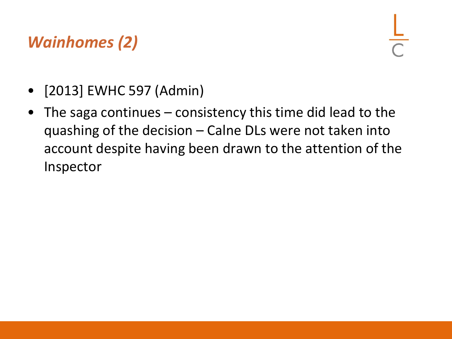# *Wainhomes (2)*

- [2013] EWHC 597 (Admin)
- The saga continues consistency this time did lead to the quashing of the decision – Calne DLs were not taken into account despite having been drawn to the attention of the Inspector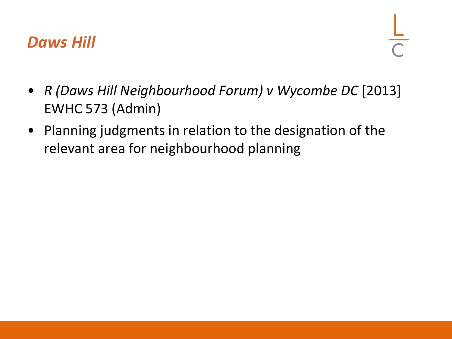#### *Daws Hill*

- *R (Daws Hill Neighbourhood Forum) v Wycombe DC* [2013] EWHC 573 (Admin)
- Planning judgments in relation to the designation of the relevant area for neighbourhood planning